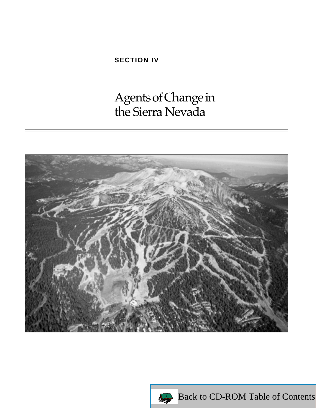# <span id="page-0-0"></span>**SECTION IV**

# Agents of Change in the Sierra Nevada



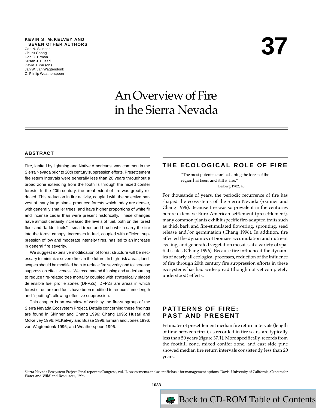#### <span id="page-2-0"></span>**KEVIN S. McKELVEY AND SEVEN OTHER AUTHORS**

Carl N. Skinner Chi-ru Chang Don C. Erman Susan J. Husari David J. Parsons Jan W. van Wagtendonk C. Phillip Weatherspoon

# An Overview of Fire in the Sierra Nevada

#### **ABSTRACT**

Fire, ignited by lightning and Native Americans, was common in the Sierra Nevada prior to 20th century suppression efforts. Presettlement fire return intervals were generally less than 20 years throughout a broad zone extending from the foothills through the mixed conifer forests. In the 20th century, the areal extent of fire was greatly reduced. This reduction in fire activity, coupled with the selective harvest of many large pines, produced forests which today are denser, with generally smaller trees, and have higher proportions of white fir and incense cedar than were present historically. These changes have almost certainly increased the levels of fuel, both on the forest floor and "ladder fuels"—small trees and brush which carry the fire into the forest canopy. Increases in fuel, coupled with efficient suppression of low and moderate intensity fires, has led to an increase in general fire severity.

We suggest extensive modification of forest structure will be necessary to minimize severe fires in the future. In high-risk areas, landscapes should be modified both to reduce fire severity and to increase suppression effectiveness. We recommend thinning and underburning to reduce fire-related tree mortality coupled with strategically placed defensible fuel profile zones (DFPZs). DFPZs are areas in which forest structure and fuels have been modified to reduce flame length and "spotting", allowing effective suppression.

This chapter is an overview of work by the fire-subgroup of the Sierra Nevada Ecosystem Project. Details concerning these findings are found in Skinner and Chang 1996; Chang 1996; Husari and McKelvey 1996; McKelvey and Busse 1996; Erman and Jones 1996; van Wagtendonk 1996; and Weatherspoon 1996.

## **THE ECOLOGICAL ROLE OF FIRE**

"The most potent factor in shaping the forest of the region has been, and still is, fire." Leiberg 1902, 40

For thousands of years, the periodic recurrence of fire has shaped the ecosystems of the Sierra Nevada (Skinner and Chang 1996). Because fire was so prevalent in the centuries before extensive Euro-American settlement (presettlement), many common plants exhibit specific fire-adapted traits such as thick bark and fire-stimulated flowering, sprouting, seed release and/or germination (Chang 1996). In addition, fire affected the dynamics of biomass accumulation and nutrient cycling, and generated vegetation mosaics at a variety of spatial scales (Chang 1996). Because fire influenced the dynamics of nearly all ecological processes, reduction of the influence of fire through 20th century fire suppression efforts in these ecosystems has had widespread (though not yet completely understood) effects.

## **PATTERNS OF FIRE: PAST AND PRESENT**

Estimates of presettlement median fire return intervals (length of time between fires), as recorded in fire scars, are typically less than 50 years (figure 37.1). More specifically, records from the foothill zone, mixed conifer zone, and east side pine showed median fire return intervals consistently less than 20 years.

Sierra Nevada Ecosystem Project: Final report to Congress, vol. II, Assessments and scientific basis for management options. Davis: University of California, Centers for Water and Wildland Resources, 1996.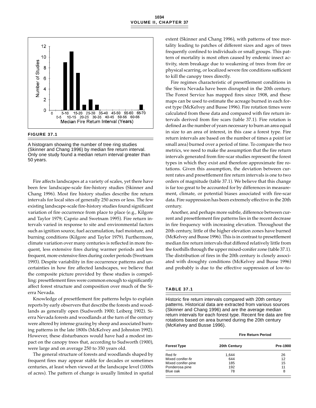



Fire affects landscapes at a variety of scales, yet there have been few landscape-scale fire-history studies (Skinner and Chang 1996). Most fire history studies describe fire return intervals for local sites of generally 250 acres or less. The few existing landscape-scale fire-history studies found significant variation of fire occurrence from place to place (e.g., Kilgore and Taylor 1979; Caprio and Swetnam 1995). Fire return intervals varied in response to site and environmental factors such as ignition source, fuel accumulation, fuel moisture, and burning conditions (Kilgore and Taylor 1979). Furthermore, climate variation over many centuries is reflected in more frequent, less extensive fires during warmer periods and less frequent, more extensive fires during cooler periods (Swetnam 1993). Despite variability in fire occurrence patterns and uncertainties in how fire affected landscapes, we believe that the composite picture provided by these studies is compelling: presettlement fires were common enough to significantly affect forest structure and composition over much of the Sierra Nevada.

Knowledge of presettlement fire patterns helps to explain reports by early observers that describe the forests and woodlands as generally open (Sudworth 1900; Leiberg 1902). Sierra Nevada forests and woodlands at the turn of the century were altered by intense grazing by sheep and associated burning patterns in the late 1800s (McKelvey and Johnston 1992). However, these disturbances would have had a modest impact on the canopy trees that, according to Sudworth (1900), were large and on average 250 to 350 years old.

The general structure of forests and woodlands shaped by frequent fires may appear stable for decades or sometimes centuries, at least when viewed at the landscape level (1000s of acres). The pattern of change is usually limited in spatial extent (Skinner and Chang 1996), with patterns of tree mortality leading to patches of different sizes and ages of trees frequently confined to individuals or small groups. This pattern of mortality is most often caused by endemic insect activity, stem breakage due to weakening of trees from fire or physical scarring, or localized severe fire conditions sufficient to kill the canopy trees directly.

Fire regimes characteristic of presettlement conditions in the Sierra Nevada have been disrupted in the 20th century. The Forest Service has mapped fires since 1908, and these maps can be used to estimate the acreage burned in each forest type (McKelvey and Busse 1996). Fire rotation times were calculated from these data and compared with fire return intervals derived from fire scars (table 37.1). Fire rotation is defined as the number of years necessary to burn an area equal in size to an area of interest, in this case a forest type. Fire return intervals are based on the number of times a point (or small area) burned over a period of time. To compare the two metrics, we need to make the assumption that the fire return intervals generated from fire-scar studies represent the forest types in which they exist and therefore approximate fire rotations. Given this assumption, the deviation between current rates and presettlement fire return intervals is one to two orders of magnitude (table 37.1). We believe that this change is far too great to be accounted for by differences in measurement, climate, or potential biases associated with fire-scar data. Fire suppression has been extremely effective in the 20th century.

Another, and perhaps more subtle, difference between current and presettlement fire patterns lies in the recent decrease in fire frequency with increasing elevation. Throughout the 20th century, little of the higher elevation zones have burned (McKelvey and Busse 1996). This is in contrast to presettlement median fire return intervals that differed relatively little from the foothills through the upper mixed-conifer zone (table 37.1). The distribution of fires in the 20th century is closely associated with droughty conditions (McKelvey and Busse 1996) and probably is due to the effective suppression of low-to-

#### **TABLE 37.1**

Historic fire return intervals compared with 20th century patterns. Historical data are extracted from various sources (Skinner and Chang 1996) and are the average median return intervals for each forest type. Recent fire data are fire rotations based on area burned during the 20th century (McKelvey and Busse 1996).

| <b>Forest Type</b> | <b>Fire Return Period</b> |          |
|--------------------|---------------------------|----------|
|                    | 20th Century              | Pre-1900 |
| Red fir            | 1,644                     | 26       |
| Mixed conifer-fir  | 644                       | 12       |
| Mixed conifer-pine | 185                       | 15       |
| Ponderosa pine     | 192                       | 11       |
| Blue oak           | 78                        | 8        |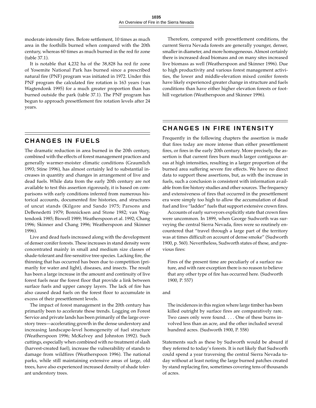moderate intensity fires. Before settlement, 10 times as much area in the foothills burned when compared with the 20th century, whereas 60 times as much burned in the red fir zone (table 37.1).

It is notable that 4,232 ha of the 38,828 ha red fir zone of Yosemite National Park has burned since a prescribed natural fire (PNF) program was initiated in 1972. Under this PNF program the calculated fire rotation is 163 years (van Wagtendonk 1995) for a much greater proportion than has burned outside the park (table 37.1). The PNF program has begun to approach presettlement fire rotation levels after 24 years.

## **CHANGES IN FUELS**

The dramatic reduction in area burned in the 20th century, combined with the effects of forest management practices and generally warmer-moister climatic conditions (Graumlich 1993; Stine 1996), has almost certainly led to substantial increases in quantity and changes in arrangement of live and dead fuels. While data from the early 20th century are not available to test this assertion rigorously, it is based on comparisons with early conditions inferred from numerous historical accounts, documented fire histories, and structures of uncut stands (Kilgore and Sando 1975; Parsons and DeBenedetti 1979; Bonnicksen and Stone 1982; van Wagtendonk 1985; Biswell 1989; Weatherspoon et al. 1992; Chang 1996; Skinner and Chang 1996; Weatherspoon and Skinner 1996).

Live and dead fuels increased along with the development of denser conifer forests. These increases in stand density were concentrated mainly in small and medium size classes of shade-tolerant and fire-sensitive tree species. Lacking fire, the thinning that has occurred has been due to competition (primarily for water and light), diseases, and insects. The result has been a large increase in the amount and continuity of live forest fuels near the forest floor that provide a link between surface fuels and upper canopy layers. The lack of fire has also caused dead fuels on the forest floor to accumulate in excess of their presettlement levels.

The impact of forest management in the 20th century has primarily been to accelerate these trends. Logging on Forest Service and private lands has been primarily of the large overstory trees—accelerating growth in the dense understory and increasing landscape-level homogeneity of fuel structure (Weatherspoon 1996; McKelvey and Johnston 1992). Such cuttings, especially when combined with no treatment of slash (harvest-created fuel), increase the vulnerability of stands to damage from wildfires (Weatherspoon 1996). The national parks, while still maintaining extensive areas of large, old trees, have also experienced increased density of shade tolerant understory trees.

Therefore, compared with presettlement conditions, the current Sierra Nevada forests are generally younger, denser, smaller in diameter, and more homogeneous. Almost certainly there is increased dead biomass and on many sites increased live biomass as well (Weatherspoon and Skinner 1996). Due to high productivity and various forest management activities, the lower and middle-elevation mixed conifer forests have likely experienced greater change in structure and fuels conditions than have either higher elevation forests or foothill vegetation (Weatherspoon and Skinner 1996).

## **CHANGES IN FIRE INTENSITY**

Frequently in the following chapters the assertion is made that fires today are more intense than either presettlement fires, or fires in the early 20th century. More precisely, the assertion is that current fires burn much larger contiguous areas at high intensities, resulting in a larger proportion of the burned area suffering severe fire effects. We have no direct data to support these assertions, but, as with the increase in fuels, such a conclusion is consistent with information available from fire history studies and other sources. The frequency and extensiveness of fires that occurred in the presettlement era were simply too high to allow the accumulation of dead fuel and live "ladder" fuels that support extensive crown fires.

Accounts of early surveyors explicitly state that crown fires were uncommon. In 1899, when George Sudworth was surveying the central Sierra Nevada, fires were so routinely encountered that "travel through a large part of the territory was at times difficult on account of dense smoke" (Sudworth 1900, p. 560). Nevertheless, Sudworth states of these, and previous fires:

Fires of the present time are peculiarly of a surface nature, and with rare exception there is no reason to believe that any other type of fire has occurred here. (Sudworth 1900, P. 557)

and

The incidences in this region where large timber has been killed outright by surface fires are comparatively rare. Two cases only were found. . . . One of these burns involved less than an acre, and the other included several hundred acres. (Sudworth 1900, P. 558)

Statements such as these by Sudworth would be absurd if they referred to today's forests. It is not likely that Sudworth could spend a year traversing the central Sierra Nevada today without at least noting the large burned patches created by stand replacing fire, sometimes covering tens of thousands of acres.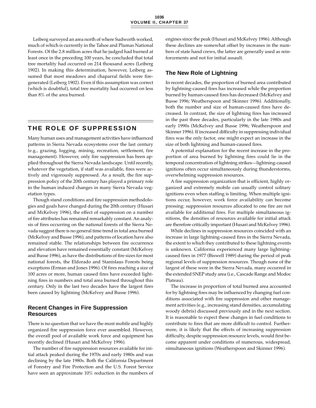Leiberg surveyed an area north of where Sudworth worked, much of which is currently in the Tahoe and Plumas National Forests. Of the 2.8 million acres that he judged had burned at least once in the preceding 100 years, he concluded that total tree mortality had occurred on 214 thousand acres (Leiberg 1902). In making this determination, however, Leiberg assumed that most meadows and chaparral fields were firegenerated (Leiberg 1902). Even if this assumption was correct (which is doubtful), total tree mortality had occurred on less than 8% of the area burned.

## **THE ROLE OF SUPPRESSION**

Many human uses and management activities have influenced patterns in Sierra Nevada ecosystems over the last century (e.g., grazing, logging, mining, recreation, settlement, fire management). However, only fire suppression has been applied throughout the Sierra Nevada landscape. Until recently, whatever the vegetation, if staff was available, fires were actively and vigorously suppressed. As a result, the fire suppression policy of the 20th century has played a primary role in the human induced changes in many Sierra Nevada vegetation types.

Though stand conditions and fire suppression methodologies and goals have changed during the 20th century (Husari and McKelvey 1996), the effect of suppression on a number of fire attributes has remained remarkably constant. An analysis of fires occurring on the national forests of the Sierra Nevada suggest there is no general time trend in total area burned (McKelvey and Busse 1996), and patterns of location have also remained stable. The relationships between fire occurrence and elevation have remained essentially constant (McKelvey and Busse 1996), as have the distributions of fire sizes for most national forests, the Eldorado and Stanislaus Forests being exceptions (Erman and Jones 1996). Of fires reaching a size of 100 acres or more, human caused fires have exceeded lightning fires in numbers and total area burned throughout this century. Only in the last two decades have the largest fires been caused by lightning (McKelvey and Busse 1996).

## **Recent Changes in Fire Suppression Resources**

There is no question that we have the most mobile and highly organized fire suppression force ever assembled. However, the overall pool of available work force and equipment has recently declined (Husari and McKelvey 1996).

The number of fire suppression resources available for initial attack peaked during the 1970s and early 1980s and was declining by the late 1980s. Both the California Department of Forestry and Fire Protection and the U.S. Forest Service have seen an approximate 10% reduction in the numbers of

engines since the peak (Husari and McKelvey 1996). Although these declines are somewhat offset by increases in the numbers of state hand crews, the latter are generally used as reinforcements and not for initial assault.

## **The New Role of Lightning**

In recent decades, the proportion of burned area contributed by lightning-caused fires has increased while the proportion burned by human-caused fires has decreased (McKelvey and Busse 1996; Weatherspoon and Skinner 1996). Additionally, both the number and size of human-caused fires have decreased. In contrast, the size of lightning fires has increased in the past three decades, particularly in the late 1980s and early 1990s (McKelvey and Busse 1996; Weatherspoon and Skinner 1996). If increased difficulty in suppressing individual fires was the only factor, one might expect an increase in the size of both lightning and human-caused fires.

A potential explanation for the recent increase in the proportion of area burned by lightning fires could lie in the temporal concentration of lightning strikes—lightning-caused ignitions often occur simultaneously during thunderstorms, overwhelming suppression resources.

A fire suppression organization that is efficient, highly organized and extremely mobile can usually control solitary ignitions even when staffing is limiting. When multiple ignitions occur, however, work force availability can become pressing: suppression resources allocated to one fire are not available for additional fires. For multiple simultaneous ignitions, the densities of resources available for initial attack are therefore critically important (Husari and McKelvey 1996).

While declines in suppression resources coincided with an increase in large lightning-caused fires in the Sierra Nevada, the extent to which they contributed to these lightning events is unknown. California experienced many large lightningcaused fires in 1977 (Biswell 1989) during the period of peak regional levels of suppression resources. Though none of the largest of these were in the Sierra Nevada, many occurred in the extended SNEP study area (i.e., Cascade Range and Modoc Plateau).

The increase in proportion of total burned area accounted for by lightning fires may be influenced by changing fuel conditions associated with fire suppression and other management activities (e.g., increasing stand densities, accumulating woody debris) discussed previously and in the next section. It is reasonable to expect these changes in fuel conditions to contribute to fires that are more difficult to control. Furthermore, it is likely that the effects of increasing suppression difficulty, despite suppression resource levels, would first become apparent under conditions of numerous, widespread, simultaneous ignitions (Weatherspoon and Skinner 1996).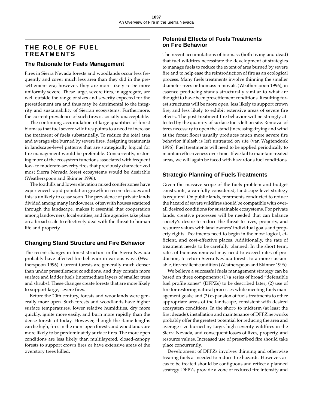# **THE ROLE OF FUEL TREATMENTS**

### **The Rationale for Fuels Management**

Fires in Sierra Nevada forests and woodlands occur less frequently and cover much less area than they did in the presettlement era; however, they are more likely to be more uniformly severe. These large, severe fires, in aggregate, are well outside the range of sizes and severity expected for the presettlement era and thus may be detrimental to the integrity and sustainability of Sierran ecosystems. Furthermore, the current prevalence of such fires is socially unacceptable.

The continuing accumulation of large quantities of forest biomass that fuel severe wildfires points to a need to increase the treatment of fuels substantially. To reduce the total area and average size burned by severe fires, designing treatments in landscape-level patterns that are strategically logical for fire management would be preferable. Concurrently, restoring more of the ecosystem functions associated with frequent low- to moderate-severity fires that previously characterized most Sierra Nevada forest ecosystems would be desirable (Weatherspoon and Skinner 1996).

The foothills and lower elevation mixed conifer zones have experienced rapid population growth in recent decades and this is unlikely to cease soon. The prevalence of private lands divided among many landowners, often with houses scattered through the landscape, makes it essential that cooperation among landowners, local entities, and fire agencies take place on a broad scale to effectively deal with the threat to human life and property.

## **Changing Stand Structure and Fire Behavior**

The recent changes in forest structure in the Sierra Nevada probably have affected fire behavior in various ways (Weatherspoon 1996). Current forests are generally much denser than under presettlement conditions, and they contain more surface and ladder fuels (intermediate layers of smaller trees and shrubs). These changes create forests that are more likely to support large, severe fires.

Before the 20th century, forests and woodlands were generally more open. Such forests and woodlands have higher surface temperatures, lower relative humidities, dry more quickly, ignite more easily, and burn more rapidly than the dense forests of today. However, though the flame lengths can be high, fires in the more open forests and woodlands are more likely to be predominately surface fires. The more open conditions are less likely than multilayered, closed-canopy forests to support crown fires or have extensive areas of the overstory trees killed.

## **Potential Effects of Fuels Treatments on Fire Behavior**

The recent accumulations of biomass (both living and dead) that fuel wildfires necessitate the development of strategies to manage fuels to reduce the extent of area burned by severe fire and to help ease the reintroduction of fire as an ecological process. Many fuels treatments involve thinning the smaller diameter trees or biomass removals (Weatherspoon 1996), in essence producing stands structurally similar to what are thought to have been presettlement conditions. Resulting forest structures will be more open, less likely to support crown fire, and less likely to exhibit extensive areas of severe fire effects. The post-treatment fire behavior will be strongly affected by the quantity of surface fuels left on site. Removal of trees necessary to open the stand (increasing drying and wind at the forest floor) usually produces much more severe fire behavior if slash is left untreated on site (van Wagtendonk 1996). Fuel treatments will need to be applied periodically to maintain effectiveness over time. If we fail to maintain treated areas, we will again be faced with hazardous fuel conditions.

## **Strategic Planning of Fuels Treatments**

Given the massive scope of the fuels problem and budget constraints, a carefully-considered, landscape-level strategy is required. On public lands, treatments conducted to reduce the hazard of severe wildfires should be compatible with overall desired conditions for sustainable ecosystems. For private lands, creative processes will be needed that can balance society's desire to reduce the threat to lives, property, and resource values with land owners' individual goals and property rights. Treatments need to begin in the most logical, efficient, and cost-effective places. Additionally, the rate of treatment needs to be carefully planned: In the short term, rates of biomass removal may need to exceed rates of production, to return Sierra Nevada forests to a more sustainable, fire-resilient condition (Weatherspoon and Skinner 1996).

We believe a successful fuels management strategy can be based on three components: (1) a series of broad "defensible fuel profile zones" (DFPZs) to be described later; (2) use of fire for restoring natural processes while meeting fuels management goals; and (3) expansion of fuels treatments to other appropriate areas of the landscape, consistent with desired ecosystem conditions. In the short- to midterm (at least the first decade), installation and maintenance of DFPZ networks probably offer the greatest potential for reducing the area and average size burned by large, high-severity wildfires in the Sierra Nevada, and consequent losses of lives, property, and resource values. Increased use of prescribed fire should take place concurrently.

Development of DFPZs involves thinning and otherwise treating fuels as needed to reduce fire hazards. However, areas to be treated should be contiguous and reflect a planned strategy. DFPZs provide a zone of reduced fire intensity and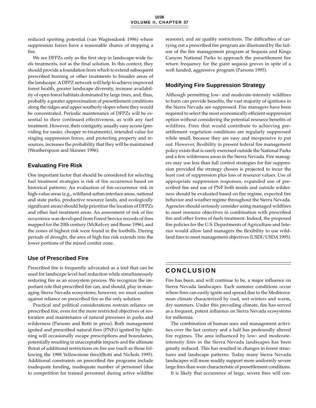reduced spotting potential (van Wagtendonk 1996) where suppression forces have a reasonable chance of stopping a fire.

We see DFPZs only as the first step in landscape-wide fuels treatments, not as the final solution. In this context, they should provide a foundation from which to extend subsequent prescribed burning or other treatments to broader areas of the landscape. A DFPZ network will help to achieve improved forest health, greater landscape diversity, increase availability of open forest habitats dominated by large trees, and, thus, probably a greater approximation of presettlement conditions along the ridges and upper southerly slopes where they would be concentrated. Periodic maintenance of DFPZs will be essential to their continued effectiveness, as with any fuel treatment. However, their contiguity, usually easy access (providing for easier, cheaper re-treatments), intended value for staging suppression forces, and protecting property and resources, increases the probability that they will be maintained (Weatherspoon and Skinner 1996).

## **Evaluating Fire Risk**

One important factor that should be considered for selecting fuel treatment strategies is risk of fire occurrence based on historical patterns. An evaluation of fire-occurrence risk in high-value areas (e.g., wildland-urban interface areas, national and state parks, productive resource lands, and ecologically significant areas) should help prioritize the location of DFPZs and other fuel treatment areas. An assessment of risk of fire occurrence was developed from Forest Service records of fires mapped for the 20th century (McKelvey and Busse 1996), and the zones of highest risk were found in the foothills. During periods of drought, the area of high fire risk extends into the lower portions of the mixed conifer zone.

#### **Use of Prescribed Fire**

Prescribed fire is frequently advocated as a tool that can be used for landscape level fuel reduction while simultaneously restoring fire as an ecosystem process. We recognize the important role that prescribed fire can, and should, play in managing Sierra Nevada ecosystems; however, we must caution against reliance on prescribed fire as the only solution.

Practical and political considerations restrain reliance on prescribed fire, even for the more restricted objectives of restoration and maintenance of natural processes in parks and wilderness (Parsons and Botti in press). Both management ignited and prescribed natural fires (PNFs) ignited by lightning will occasionally escape prescriptions and boundaries, potentially resulting in unacceptable impacts and the ultimate threat of additional restrictions on fire use (such as those following the 1988 Yellowstone fires)(Botti and Nichols 1995). Additional constraints on prescribed fire programs include inadequate funding, inadequate number of personnel (due to competition for trained personnel during active wildfire

seasons), and air quality restrictions. The difficulties of carrying out a prescribed fire program are illustrated by the failure of the fire management program at Sequoia and Kings Canyon National Parks to approach the presettlement fire return frequency for the giant sequoia groves in spite of a well funded, aggressive program (Parsons 1995).

## **Modifying Fire Suppression Strategy**

Although permitting low- and moderate-intensity wildfires to burn can provide benefits, the vast majority of ignitions in the Sierra Nevada are suppressed. Fire managers have been required to select the most economically efficient suppression option without considering the potential resource benefits of wildfires. Fires that would contribute to achieving presettlement vegetation conditions are regularly suppressed while small, because they are easy and inexpensive to put out. However, flexibility in present federal fire management policy exists that is rarely exercised outside the National Parks and a few wilderness areas in the Sierra Nevada. Fire managers may use less than full control strategies for fire suppression provided the strategy chosen is projected to incur the least cost of suppression plus loss of resource values. Use of appropriate suppression responses, expanded use of prescribed fire and use of PNF both inside and outside wilderness should be evaluated based on fire regime, expected fire behavior and weather regime throughout the Sierra Nevada. Agencies should seriously consider using managed wildfires to meet resource objectives in combination with prescribed fire and other forms of fuels treatment. Indeed, the proposed fire policies for the U.S. Departments of Agriculture and Interior would allow land managers the flexibility to use wildland fires to meet management objectives (USDI/USDA 1995).

## **CONCLUSION**

Fire has been, and will continue to be, a major influence on Sierra Nevada landscapes. Each summer conditions occur where fires can easily ignite and spread due to the Mediterranean climate characterized by cool, wet winters and warm, dry summers. Under this prevailing climate, fire has served as a frequent, potent influence on Sierra Nevada ecosystems for millennia.

The combination of human uses and management activities over the last century and a half has profoundly altered fire regimes. The area influenced by low- and moderateintensity fires in the Sierra Nevada landscapes has been greatly reduced. This has resulted in changes in forest structures and landscape patterns. Today many Sierra Nevada landscapes will more readily support more uniformly severe large fires than were characteristic of presettlement conditions.

It is likely that occurrence of large, severe fires will con-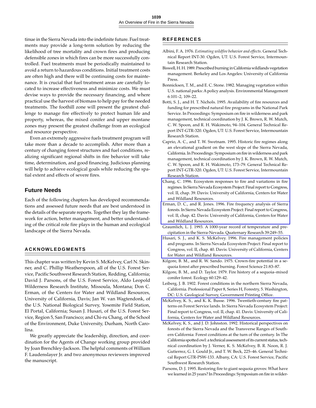tinue in the Sierra Nevada into the indefinite future. Fuel treatments may provide a long-term solution by reducing the likelihood of tree mortality and crown fires and producing defensible zones in which fires can be more successfully controlled. Fuel treatments must be periodically maintained to avoid a return to hazardous conditions. Initial treatment costs are often high and there will be continuing costs for maintenance. It is crucial that fuel treatment areas are carefully located to increase effectiveness and minimize costs. We must devise ways to provide the necessary financing, and where practical use the harvest of biomass to help pay for the needed treatments. The foothill zone will present the greatest challenge to manage fire effectively to protect human life and property, whereas, the mixed conifer and upper montane zones may present the greatest challenge from an ecological and resource perspective.

Even an extremely aggressive fuels treatment program will take more than a decade to accomplish. After more than a century of changing forest structures and fuel conditions, realizing significant regional shifts in fire behavior will take time, determination, and good financing. Judicious planning will help to achieve ecological goals while reducing the spatial extent and effects of severe fires.

## **Future Needs**

Each of the following chapters has developed recommendations and assessed future needs that are best understood in the details of the separate reports. Together they lay the framework for action, better management, and better understanding of the critical role fire plays in the human and ecological landscape of the Sierra Nevada.

### **ACKNOWLEDGMENTS**

This chapter was written by Kevin S. McKelvey, Carl N. Skinner, and C. Phillip Weatherspoon, all of the U.S. Forest Service, Pacific Southwest Research Station, Redding, California; David J. Parsons, of the U.S. Forest Service, Aldo Leopold Wilderness Research Institute, Missoula, Montana; Don C. Erman, of the Centers for Water and Wildland Resources, University of California, Davis; Jan W. van Wagtendonk, of the U.S. National Biological Survey, Yosemite Field Station, El Portal, California; Susan J. Husari, of the U.S. Forest Service, Region 5, San Francisco; and Chi-ru Chang, of the School of the Environment, Duke University, Durham, North Carolina.

We greatly appreciate the leadership, direction, and coordination for the Agents of Change working group provided by Joan Brenchley-Jackson. The helpful comments of William F. Laudenslayer Jr. and two anonymous reviewers improved the manuscript.

#### **REFERENCES**

- Albini, F. A. 1976. *Estimating wildfire behavior and effects*. General Technical Report INT-30. Ogden, UT: U.S. Forest Service, Intermountain Research Station.
- Biswell, H. H. 1989. Prescribed burning in California wildlands vegetation management. Berkeley and Los Angeles: University of California Press.
- Bonnicksen, T. M., and E. C. Stone. 1982. Managing vegetation within U.S. national parks: A policy analysis. Environmental Management 6:101–2, 109–22.
- Botti, S. J., and H. T. Nichols. 1995. Availability of fire resources and funding for prescribed natural fire programs in the National Park Service. In Proceedings: Symposium on fire in wilderness and park management, technical coordination by J. K. Brown, R. W. Mutch, C. W. Spoon, and R. H. Wakimoto, 94–104. General Technical Report INT-GTR-320. Ogden, UT: U.S. Forest Service, Intermountain Research Station.
- Caprio, A. C., and T. W. Swetnam. 1995. Historic fire regimes along an elevational gradient on the west slope of the Sierra Nevada, California. In Proceedings: Symposium on fire in wilderness and park management, technical coordination by J. K. Brown, R. W. Mutch, C. W. Spoon, and R. H. Wakimoto, 173–79. General Technical Report INT-GTR-320. Ogden, UT: U.S. Forest Service, Intermountain Research Station.
- [Chang, C. 1996. Ecosystem responses to fire and variations in fire](#page-0-0) regimes. In Sierra Nevada Ecosystem Project: Final report to Congress, vol. II, chap. 39. Davis: University of California, Centers for Water and Wildland Resources.
- [Erman, D. C., and R. Jones. 1996. Fire frequency analysis of Sierra](#page-0-0) forests. In Sierra Nevada Ecosystem Project: Final report to Congress, vol. II, chap. 42. Davis: University of California, Centers for Water and Wildland Resources.
- Graumlich, L. J. 1993. A 1000-year record of temperature and precipitation in the Sierra-Nevada. Quaternary Research 39:249–55.
- [Husari, S. J., and K. S. McKelvey. 1996. Fire management policies](#page-0-0) and programs. In Sierra Nevada Ecosystem Project: Final report to Congress, vol. II, chap. 40. Davis: University of California, Centers for Water and Wildland Resources.
- Kilgore, B. M., and R. W. Sando. 1975. Crown-fire potential in a sequoia forest after prescribed burning. Forest Science 21:83–87.
- Kilgore, B. M., and D. Taylor. 1979. Fire history of a sequoia–mixed conifer forest. Ecology 60:129–42.
- Leiberg, J. B. 1902. Forest conditions in the northern Sierra Nevada, California. Professional Paper 8, Series H, Forestry, 5. Washington, DC: U.S. Geological Survey, Government Printing Office.
- [McKelvey, K. S., and K. K. Busse. 1996. Twentieth-century fire pat](#page-0-0)terns on Forest Service lands. In Sierra Nevada Ecosystem Project: Final report to Congress, vol. II, chap. 41. Davis: University of California, Centers for Water and Wildland Resources.
- McKelvey, K. S., and J. D. Johnston. 1992. Historical perspectives on forests of the Sierra Nevada and the Transverse Ranges of Southern California: Forest conditions at the turn of the century. In The California spotted owl: a technical assessment of its current status, technical coordination by J. Verner, K. S. McKelvey, B. R. Noon, R. J. Gutierrez, G. I. Gould Jr., and T. W. Beck, 225–46. General Technical Report GTR-PSW-133. Albany, CA: U.S. Forest Service, Pacific Southwest Research Station.
- Parsons, D. J. 1995. Restoring fire to giant sequoia groves: What have we learned in 25 years? In Proceedings: Symposium on fire in wilder-